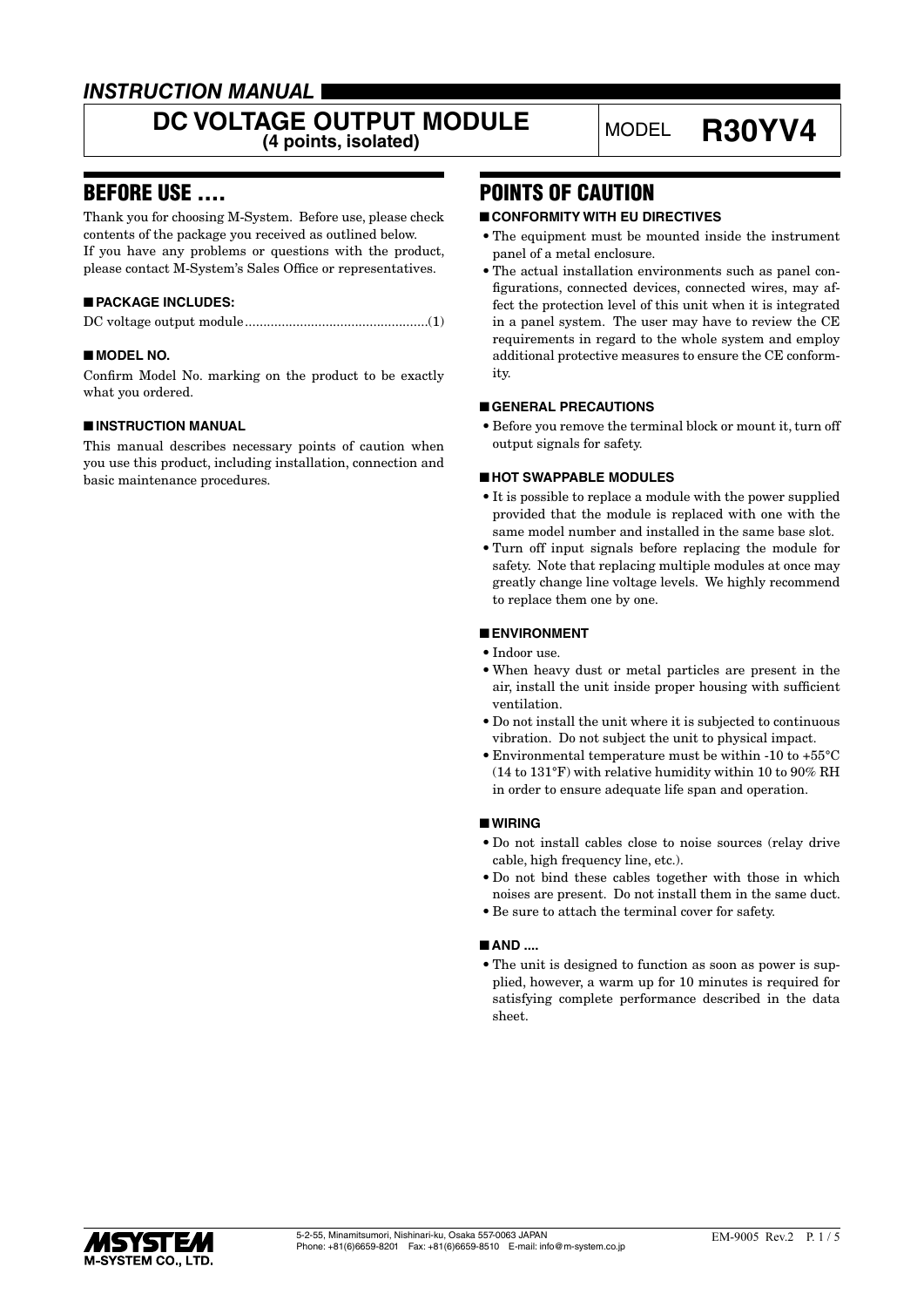### *INSTRUCTION MANUAL*

# DC VOLTAGE OUTPUT MODULE<br>
(4 points, isolated)<br>
(4 points, isolated)

### BEFORE USE ....

Thank you for choosing M-System. Before use, please check contents of the package you received as outlined below. If you have any problems or questions with the product, please contact M-System's Sales Office or representatives.

### ■ **PACKAGE INCLUDES:**

|--|--|

#### ■ **MODEL NO.**

Confirm Model No. marking on the product to be exactly what you ordered.

#### ■ **INSTRUCTION MANUAL**

This manual describes necessary points of caution when you use this product, including installation, connection and basic maintenance procedures.

### POINTS OF CAUTION

#### ■ **CONFORMITY WITH EU DIRECTIVES**

- The equipment must be mounted inside the instrument panel of a metal enclosure.
- The actual installation environments such as panel configurations, connected devices, connected wires, may affect the protection level of this unit when it is integrated in a panel system. The user may have to review the CE requirements in regard to the whole system and employ additional protective measures to ensure the CE conformity.

#### ■ **GENERAL PRECAUTIONS**

• Before you remove the terminal block or mount it, turn off output signals for safety.

#### ■ **HOT SWAPPABLE MODULES**

- It is possible to replace a module with the power supplied provided that the module is replaced with one with the same model number and installed in the same base slot.
- Turn off input signals before replacing the module for safety. Note that replacing multiple modules at once may greatly change line voltage levels. We highly recommend to replace them one by one.

#### ■ **ENVIRONMENT**

- Indoor use.
- When heavy dust or metal particles are present in the air, install the unit inside proper housing with sufficient ventilation.
- Do not install the unit where it is subjected to continuous vibration. Do not subject the unit to physical impact.
- Environmental temperature must be within -10 to +55°C (14 to 131°F) with relative humidity within 10 to 90% RH in order to ensure adequate life span and operation.

#### ■ **WIRING**

- Do not install cables close to noise sources (relay drive cable, high frequency line, etc.).
- Do not bind these cables together with those in which noises are present. Do not install them in the same duct.
- Be sure to attach the terminal cover for safety.

#### ■ **AND** ....

• The unit is designed to function as soon as power is supplied, however, a warm up for 10 minutes is required for satisfying complete performance described in the data sheet.

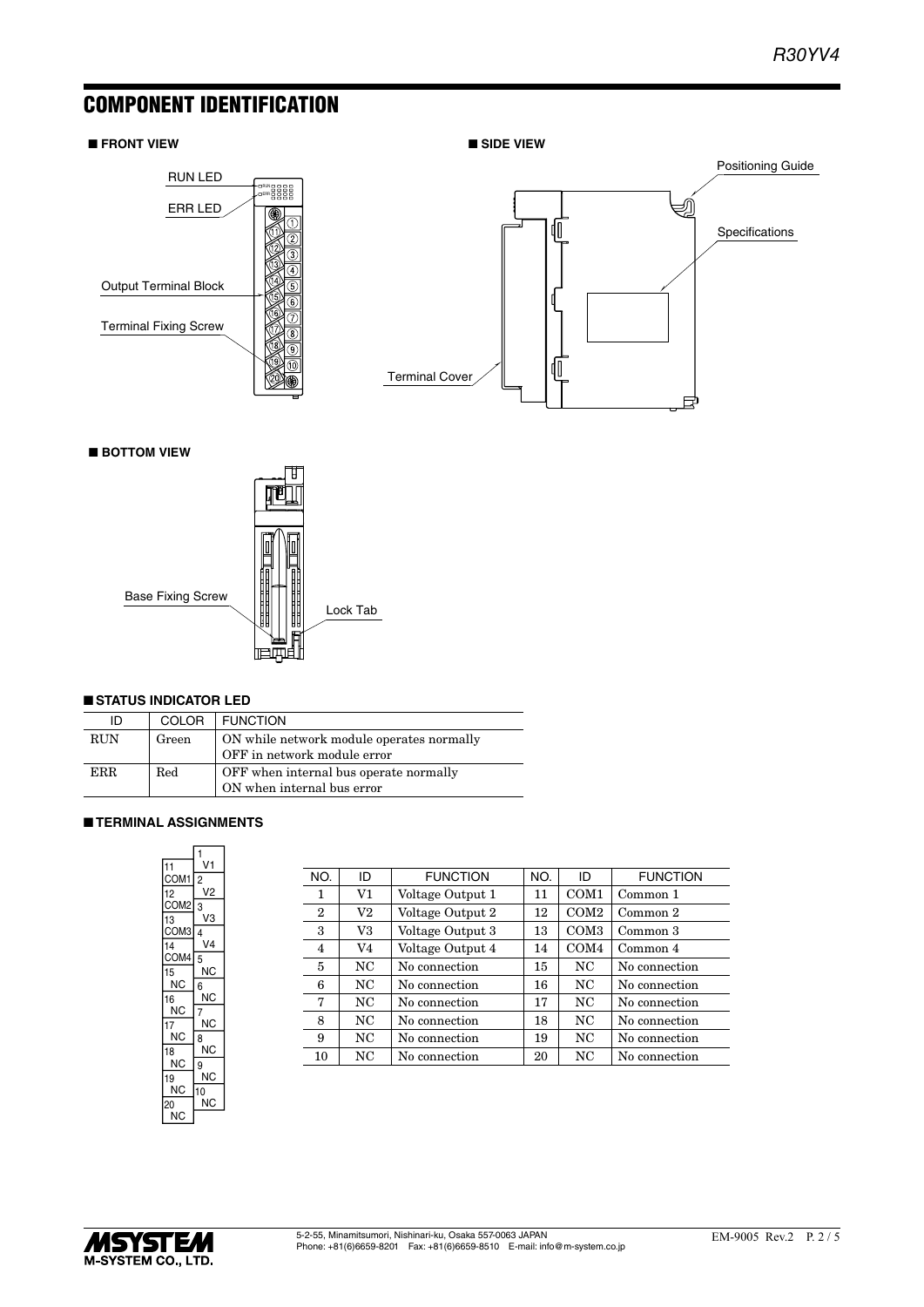### COMPONENT IDENTIFICATION

#### ■ **FRONT VIEW**





■ **BOTTOM VIEW**



#### ■ **STATUS INDICATOR LED**

| ID         | <b>COLOR</b> | <b>FUNCTION</b>                                                          |
|------------|--------------|--------------------------------------------------------------------------|
| <b>RUN</b> | Green        | ON while network module operates normally<br>OFF in network module error |
| ERR.       | Red          | OFF when internal bus operate normally<br>ON when internal bus error     |

#### ■ **TERMINAL ASSIGNMENTS**

| 11         | 1<br>V1        |
|------------|----------------|
| COM1       | $\overline{c}$ |
| 12         | V2             |
| COM2       | 3              |
| 13<br>COM3 | VЗ<br>4        |
| 14         | V4             |
| COM4       | 5              |
| 15         | ΝC             |
| ΝC         | 6              |
| 16<br>NC   | ΝC<br>7        |
| 17         | ΝC             |
| ΝC         | 8              |
| 18         | ΝC             |
| NC         | 9<br>ΝC        |
| 19<br>ΝC   | 10             |
| 20         | ΝC             |
| ΝC         |                |

| NO.            | ID       | <b>FUNCTION</b>  | NO. | ID               | <b>FUNCTION</b> |
|----------------|----------|------------------|-----|------------------|-----------------|
| 1              | V1       | Voltage Output 1 | 11  | COM <sub>1</sub> | Common 1        |
| $\overline{2}$ | $\rm V2$ | Voltage Output 2 | 12  | COM <sub>2</sub> | Common 2        |
| 3              | V3       | Voltage Output 3 | 13  | COM <sub>3</sub> | Common 3        |
| $\overline{4}$ | V4       | Voltage Output 4 | 14  | COM <sub>4</sub> | Common 4        |
| 5              | NC       | No connection    | 15  | NC               | No connection   |
| 6              | NC       | No connection    | 16  | NC               | No connection   |
| 7              | NC       | No connection    | 17  | NC               | No connection   |
| 8              | NC.      | No connection    | 18  | NC               | No connection   |
| 9              | NC       | No connection    | 19  | NC.              | No connection   |
| 10             | NC       | No connection    | 20  | NC               | No connection   |
|                |          |                  |     |                  |                 |

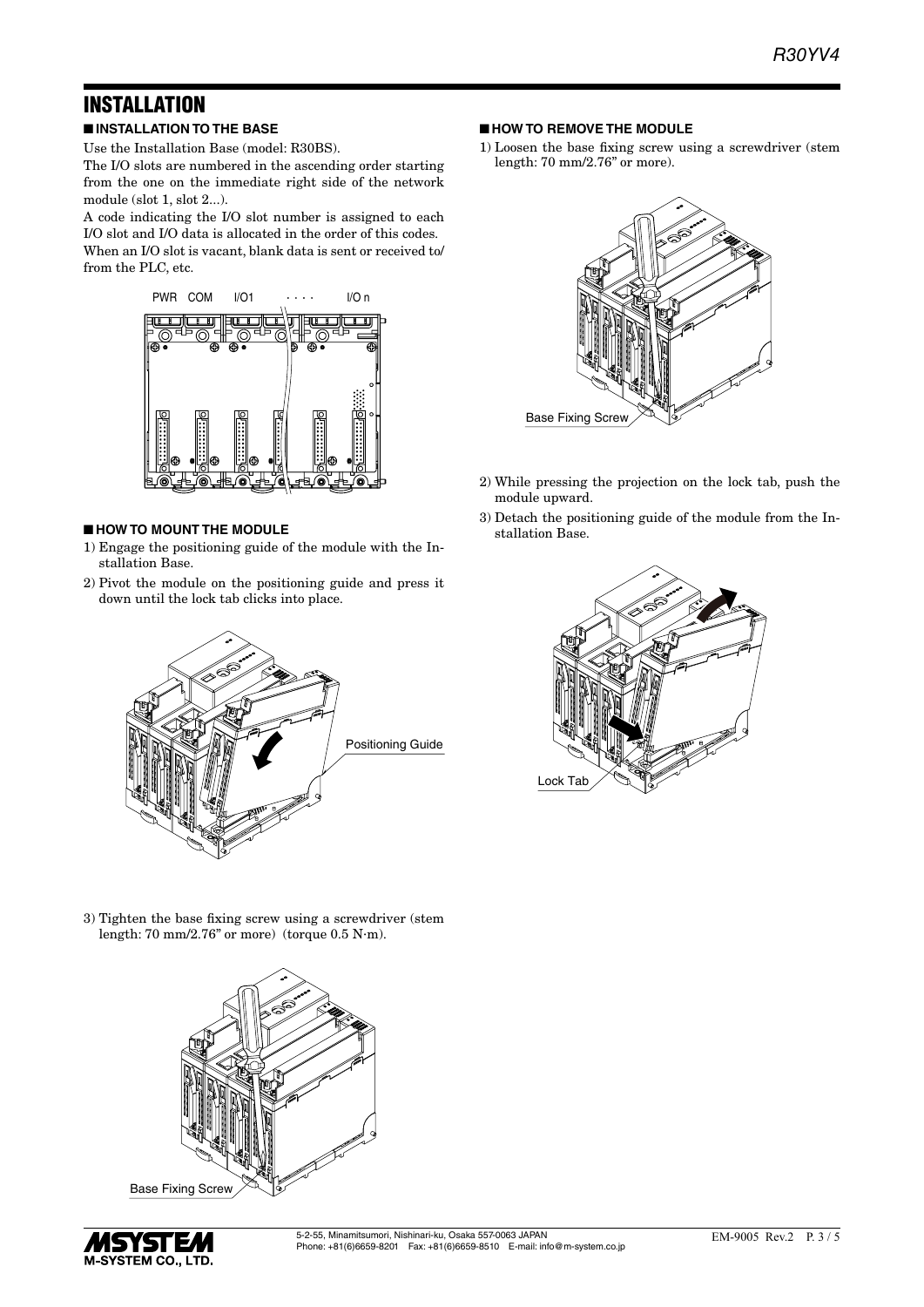## INSTALLATION

■ **INSTALLATION TO THE BASE**

Use the Installation Base (model: R30BS).

The I/O slots are numbered in the ascending order starting from the one on the immediate right side of the network module (slot 1, slot 2...).

A code indicating the I/O slot number is assigned to each I/O slot and I/O data is allocated in the order of this codes. When an I/O slot is vacant, blank data is sent or received to/ from the PLC, etc.



#### ■ **HOW TO MOUNT THE MODULE**

- 1) Engage the positioning guide of the module with the Installation Base.
- 2) Pivot the module on the positioning guide and press it down until the lock tab clicks into place.



- **HOW TO REMOVE THE MODULE**
- 1) Loosen the base fixing screw using a screwdriver (stem length: 70 mm/2.76" or more).



- 2) While pressing the projection on the lock tab, push the module upward.
- 3) Detach the positioning guide of the module from the Installation Base.



3) Tighten the base fixing screw using a screwdriver (stem length: 70 mm/2.76" or more) (torque 0.5 N·m).



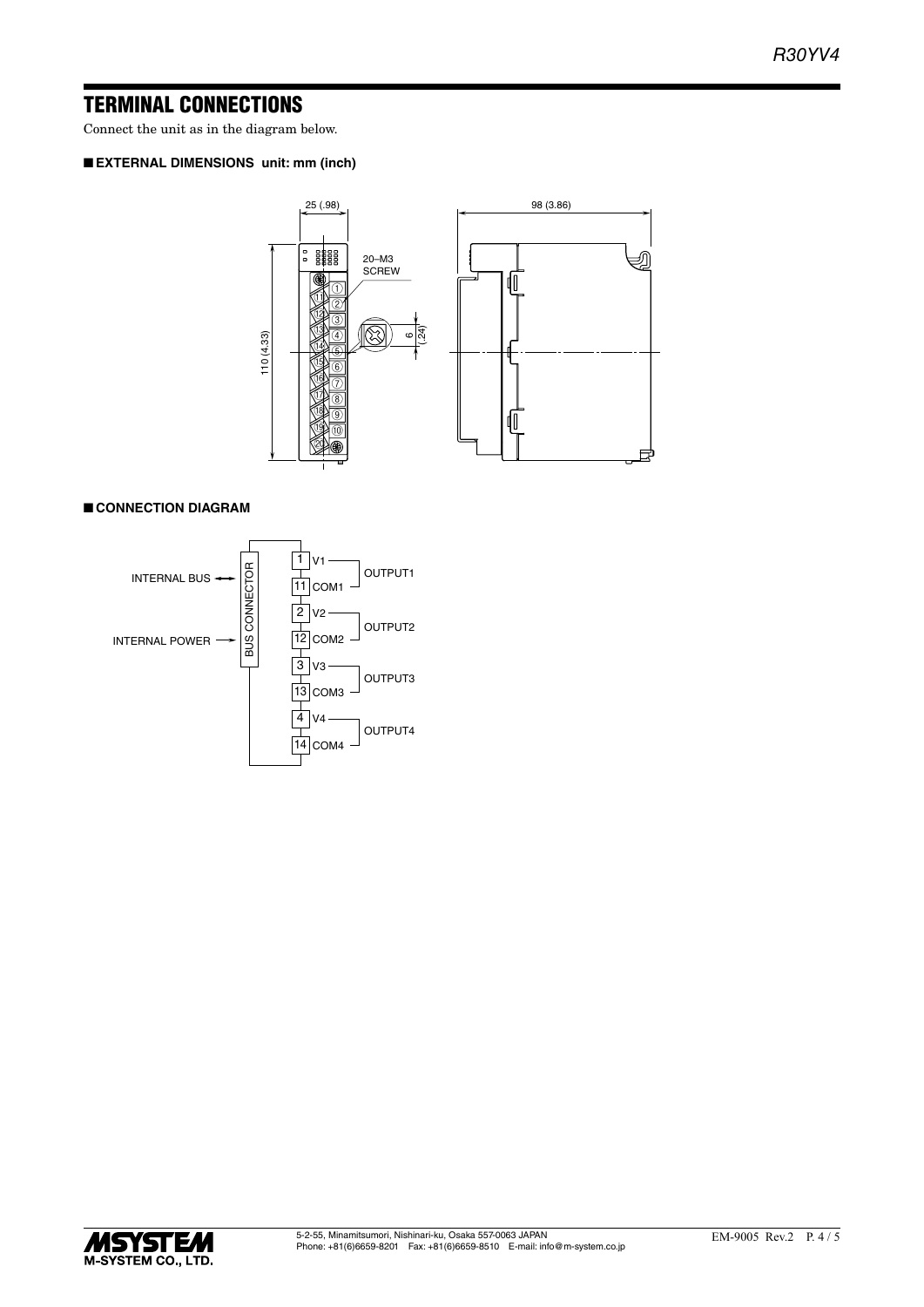### TERMINAL CONNECTIONS

Connect the unit as in the diagram below.

### ■ **EXTERNAL DIMENSIONS unit: mm (inch)**



#### ■ **CONNECTION DIAGRAM**